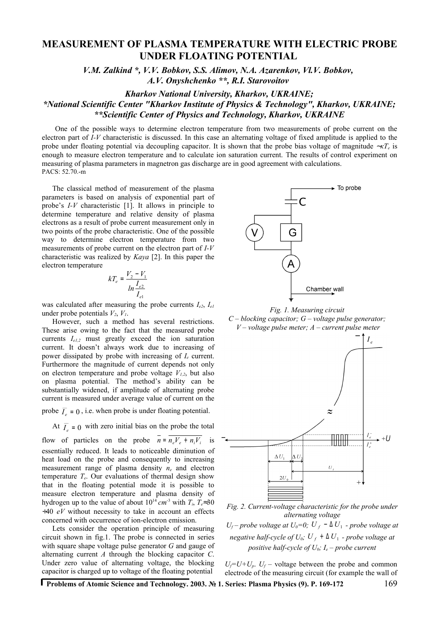# **MEASUREMENT OF PLASMA TEMPERATURE WITH ELECTRIC PROBE UNDER FLOATING POTENTIAL**

*V.M. Zalkind \*, V.V. Bobkov, S.S. Alimov, N.A. Azarenkov, Vl.V. Bobkov, А.V. Onyshchenko \*\*, R.I. Starovoitov*

*Kharkov National University, Kharkov, UKRAINE;*

*\*National Scientific Center "Kharkov Institute of Physics & Technology", Kharkov, UKRAINE; \*\*Scientific Center of Physics and Technology, Kharkov, UKRAINE*

One of the possible ways to determine electron temperature from two measurements of probe current on the electron part of *I-V* characteristic is discussed. In this case an alternating voltage of fixed amplitude is applied to the probe under floating potential via decoupling capacitor. It is shown that the probe bias voltage of magnitude ∼*кТ<sup>е</sup>* is enough to measure electron temperature and to calculate ion saturation current. The results of control experiment on measuring of plasma parameters in magnetron gas discharge are in good agreement with calculations. PACS: 52.70.-m

The classical method of measurement of the plasma parameters is based on analysis of exponential part of probe's *I-V* characteristic [1]. It allows in principle to determine temperature and relative density of plasma electrons as a result of probe current measurement only in two points of the probe characteristic. One of the possible way to determine electron temperature from two measurements of probe current on the electron part of *I-V* characteristic was realized by *Kaya* [2]. In this paper the electron temperature

$$
kT_e = \frac{V_2 - V_1}{\ln \frac{I_{e2}}{I_{e1}}}
$$

was calculated after measuring the probe currents  $I_{e2}$ ,  $I_{e1}$ under probe potentials  $V_2$ ,  $V_1$ .

However, such a method has several restrictions. These arise owing to the fact that the measured probe currents *Ie1,2* must greatly exceed the ion saturation current. It doesn't always work due to increasing of power dissipated by probe with increasing of *I<sup>e</sup>* current. Furthermore the magnitude of current depends not only on electron temperature and probe voltage  $V_{1,2}$ , but also on plasma potential. The method's ability can be substantially widened, if amplitude of alternating probe current is measured under average value of current on the

probe  $\overline{I}_e = 0$  $\overline{I}_e = 0$ , i.e. when probe is under floating potential.

At  $\overline{I}_e = 0$  $\overline{I}_e$  = 0 with zero initial bias on the probe the total

flow of particles on the probe  $\overline{n} = \overline{n_e V_e + n_i V_i}$  is essentially reduced. It leads to noticeable diminution of heat load on the probe and consequently to increasing measurement range of plasma density *n<sup>e</sup>* and electron temperature  $T_e$ . Our evaluations of thermal design show that in the floating potential mode it is possible to measure electron temperature and plasma density of hydrogen up to the value of about  $10^{14}$  *cm*<sup>-3</sup> with  $T_i$ ,  $T_e \approx 30$ ÷40 *eV* without necessity to take in account an effects concerned with occurrence of ion-electron emission.

Lets consider the operation principle of measuring circuit shown in fig.1. The probe is connected in series with square shape voltage pulse generator *G* and gauge of alternating current *A* through the blocking capacitor *C*. Under zero value of alternating voltage, the blocking capacitor is charged up to voltage of the floating potential



*Fig. 1. Measuring circuit C – blocking capacitor; G – voltage pulse generator; V – voltage pulse meter; A – current pulse meter*



*Fig. 2. Current-voltage characteristic for the probe under alternating voltage U*<sup>*f*</sup> – *probe voltage at*  $U_0=0$ ;  $U_f$  − ∆ $U_1$  – *probe voltage at negative half-cycle of*  $U_0$ *;*  $U_f + \Delta U_1$  *- probe voltage at positive half-cycle of*  $U_0$ *;*  $I_e$  *– probe current* 

 $U_f = U + U_p$ .  $U_f$  – voltage between the probe and common electrode of the measuring circuit (for example the wall of

**Problems of Atomic Science and Technology. 2003. № 1. Series: Plasma Physics (9). P. 169-172** 169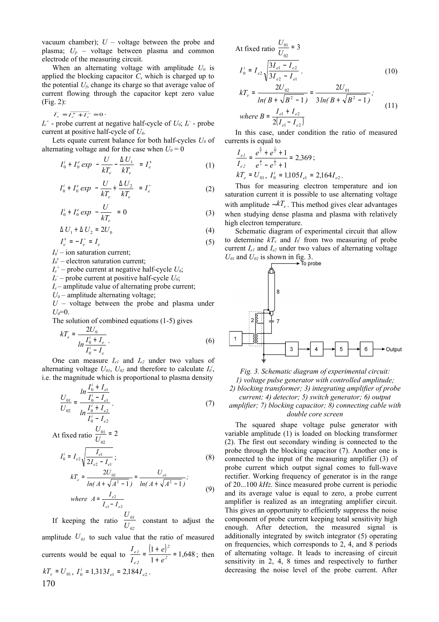vacuum chamber);  $U$  – voltage between the probe and plasma; *U<sup>р</sup>* – voltage between plasma and common electrode of the measuring circuit.

When an alternating voltage with amplitude  $U_0$  is applied the blocking capacitor *C*, which is charged up to the potential  $U_f$ , change its charge so that average value of current flowing through the capacitor kept zero value (Fig. 2):

 $= I_e^+ + I_e^- = 0$  $\overline{I}_e = \overline{I_e^+ + I}$  $\overline{I_e} = \overline{I_e^+ + I_e^-} = 0$ .

 $I_e^+$  - probe current at negative half-cycle of  $U_0$ ;  $I_e$  - probe current at positive half-cycle of *U0*.

Lets equate current balance for both half-cycles *U<sup>0</sup>* of alternating voltage and for the case when  $U_0 = 0$ 

$$
I_0^i + I_0^e \exp\left(-\frac{U}{kT_e} - \frac{\Delta U_1}{kT_e}\right) = I_e^+ \tag{1}
$$

$$
I_0^i + I_0^e \exp\left(-\frac{U}{kT_e} + \frac{\Delta U_2}{kT_e}\right) = I_e^{\dagger} \tag{2}
$$

$$
I_0^i + I_0^e \exp\left(-\frac{U}{kT_e}\right) = 0 \tag{3}
$$

$$
\Delta U_1 + \Delta U_2 = 2U_0 \tag{4}
$$

$$
I_e^+ = -I_e^- = I_e \tag{5}
$$

 $I_0^i$  – ion saturation current;

 $I_0^e$  – electron saturation current;

 $I_e^+$  – probe current at negative half-cycle  $U_0$ ;

 $I_e$  – probe current at positive half-cycle  $U_0$ ;

 $I_e$  – amplitude value of alternating probe current;

 $U_0$  – amplitude alternating voltage;

*U* – voltage between the probe and plasma under  $U_0 = 0$ .

The solution of combined equations (1-5) gives

$$
kT_e = \frac{2U_0}{\ln \frac{I_0^i + I_e}{I_0^i - I_e}}.
$$
 (6)

One can measure  $I_{el}$  and  $I_{el}$  under two values of alternating voltage  $U_{01}$ ,  $U_{02}$  and therefore to calculate  $I_0^i$ , i.e. the magnitude which is proportional to plasma density

$$
\frac{U_{01}}{U_{02}} = \frac{ln \frac{I_0^i + I_{e1}}{I_0^i - I_{e1}}}{ln \frac{I_0^i + I_{e2}}{I_0^i - I_{e2}}}.
$$
\n(7)

At fixed ratio 
$$
\frac{U_{01}}{U_{02}} = 2
$$

$$
I_0^i = I_{e2} \sqrt{\frac{I_{e1}}{2I_{e2} - I_{e1}}};
$$
\n
$$
I_{cT} = \frac{2U_{02}}{2I_{e2}} = \frac{U_{o1}}{U_{o1}}.
$$
\n(8)

$$
kT_e = \frac{200}{ln(A + \sqrt{A^2 - 1})} = \frac{0}{ln(A + \sqrt{A^2 - 1})};
$$
  
where  $A = \frac{I_{e2}}{I_{e1} - I_{e2}}$  (9)

If keeping the ratio *02 01 U U* constant to adjust the amplitude  $U_{0I}$  to such value that the ratio of measured currents would be equal to  $\frac{I_{el}}{I_{el}} = \frac{(1+e)}{1-\gamma} = 1,648$ 1  $\frac{(1+e)^2}{2}$  = +  $=\frac{(1+e)}{1+e^2}$ *2 e 2 e 1 e e I*  $I_{el} = \frac{(1+e)^2}{1} = 1,648$ ; then  $kT_e = U_{01}$ ,  $I_0^i = 1,313I_{e1} = 2,184I_{e2}$ . 170

At fixed ratio  $\frac{601}{U_{02}}$  = 3  $\frac{01}{1}$  = *U U*

$$
I_0^i = I_{e2} \sqrt{\frac{3I_{e1} - I_{e2}}{3I_{e2} - I_{e1}}}.
$$
 (10)

$$
kT_e = \frac{2U_{02}}{ln(B + \sqrt{B^2 - 1})} = \frac{2U_{01}}{3ln(B + \sqrt{B^2 - 1})};
$$
  
where  $B = \frac{I_{e1} + I_{e2}}{2(I_{e1} - I_{e2})}$  (11)

In this case, under condition the ratio of measured currents is equal to

$$
\frac{I_{e1}}{I_{e2}} = \frac{e^{\frac{4}{3}} + e^{\frac{2}{3}} + 1}{e^{\frac{4}{3}} - e^{\frac{2}{3}} + 1} = 2,369 ;
$$
\n
$$
kT_e = U_{01}, I_0^i = 1,105I_{e1} = 2,164I_{e2}.
$$

Thus for measuring electron temperature and ion saturation current it is possible to use alternating voltage with amplitude ~ $kT_e$ . This method gives clear advantages when studying dense plasma and plasma with relatively high electron temperature.

Schematic diagram of experimental circuit that allow to determine  $kT_e$  and  $I_0^i$  from two measuring of probe current  $I_{el}$  and  $I_{e2}$  under two values of alternating voltage  $U_{01}$  and  $U_{02}$  is shown in fig. 3.



*Fig. 3. Schematic diagram of experimental circuit: 1) voltage pulse generator with controlled amplitude; 2) blocking transformer; 3) integrating amplifier of probe current; 4) detector; 5) switch generator; 6) output amplifier; 7) blocking capacitor; 8) connecting cable with double core screen*

The squared shape voltage pulse generator with variable amplitude (1) is loaded on blocking transformer (2). The first out secondary winding is connected to the probe through the blocking capacitor (7). Another one is connected to the input of the measuring amplifier (3) of probe current which output signal comes to full-wave rectifier. Working frequency of generator is in the range of 20...100 *kHz*. Since measured probe current is periodic and its average value is equal to zero, a probe current amplifier is realized as an integrating amplifier circuit. This gives an opportunity to efficiently suppress the noise component of probe current keeping total sensitivity high enough. After detection, the measured signal is additionally integrated by switch integrator (5) operating on frequencies, which corresponds to 2, 4, and 8 periods of alternating voltage. It leads to increasing of circuit sensitivity in 2, 4, 8 times and respectively to further decreasing the noise level of the probe current. After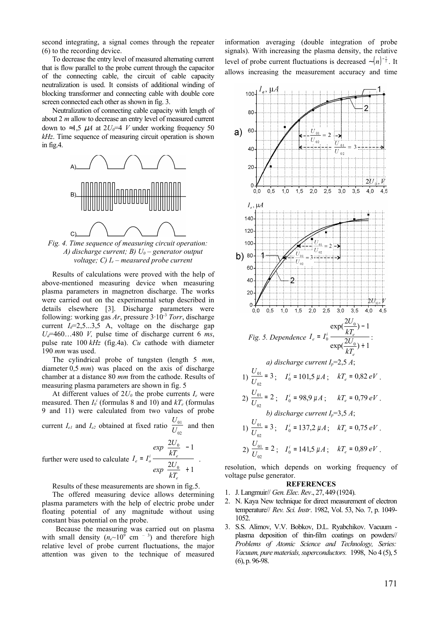second integrating, a signal comes through the repeater (6) to the recording device.

To decrease the entry level of measured alternating current that is flow parallel to the probe current through the capacitor of the connecting cable, the circuit of cable capacity neutralization is used. It consists of additional winding of blocking transformer and connecting cable with double core screen connected each other as shown in fig. 3.

Neutralization of connecting cable capacity with length of about 2 *m* allow to decrease an entry level of measured current down to ≈1,5  $\mu$ *A* at 2*U*<sub>0</sub>=4 *V* under working frequency 50 *kHz*. Time sequence of measuring circuit operation is shown in fig.4.



*Fig. 4. Time sequence of measuring circuit operation: A) discharge current; B) U0 – generator output voltage; C) Ie – measured probe current*

Results of calculations were proved with the help of above-mentioned measuring device when measuring plasma parameters in magnetron discharge. The works were carried out on the experimental setup described in details elsewhere [3]. Discharge parameters were following: working gas  $Ar$ , pressure  $3.10^{-3}$  *Torr*, discharge current  $I_d = 2, 5, \ldots, 3, 5$  A, voltage on the discharge gap  $U_d$ =460...480 *V*, pulse time of discharge current 6 *ms*, pulse rate 100 *kHz* (fig.4a). *Cu* cathode with diameter 190 *mm* was used.

The cylindrical probe of tungsten (length 5 *mm*, diameter 0,5 *mm*) was placed on the axis of discharge chamber at a distance 80 *mm* from the cathode. Results of measuring plasma parameters are shown in fig. 5

At different values of  $2U_{0}$  the probe currents  $I_{e}$  were measured. Then  $I_0^i$  (formulas 8 and 10) and  $kT_e$  (formulas 9 and 11) were calculated from two values of probe 01 *U*

current  $I_{el}$  and  $I_{e2}$  obtained at fixed ratio  $\frac{0.01}{U_{02}}$ *U* and then

further were used to calculate  $e = I_o^i \frac{M_e}{\Delta I}$  $\exp\left(\frac{2U}{\sigma}\right)$  $\exp\left(\frac{2U}{\sigma}\right)$  $I_e = I_o^i \longrightarrow \longrightarrow$ 

Results of these measurements are shown in fig.5.

 $\frac{2U_0}{10}$  + 1

 $+$ J

<sup>−</sup> J  $\mathbf{I}$ 

 $\boldsymbol{0}$ 

*e kT*

 $\overline{\phantom{a}}$  $\overline{ }$ 

 $\mathsf{I}$  $\overline{ }$ L  $\frac{2U_0}{10}$  - 1

0

*kT*

The offered measuring device allows determining plasma parameters with the help of electric probe under floating potential of any magnitude without using constant bias potential on the probe.

Because the measuring was carried out on plasma with small density  $(n_e \sim 10^9 \text{ cm}^{-3})$  and therefore high relative level of probe current fluctuations, the major attention was given to the technique of measured

information averaging (double integration of probe signals). With increasing the plasma density, the relative level of probe current fluctuations is decreased  $\sim (n)^{-\frac{1}{2}}$ . It allows increasing the measurement accuracy and time



resolution, which depends on working frequency of voltage pulse generator.

#### **REFERENCES**

- 1. J.Langmuir// *Gen.Elec.Rev*., 27, 449 (1924).
- 2. N. Kaya New technique for direct measurement of electron temperature// *Rev. Sci. Instr*. 1982, Vol. 53, No. 7, p. 1049- 1052.
- 3. S.S. Alimov, V.V. Bobkov, D.L. Ryabchikov. Vacuum plasma deposition of thin-film coatings on powders// *Problems of Atomic Science and Technology, Series: Vacuum, pure materials, superconductors.* 1998, No 4 (5), 5 (6), p. 96-98.